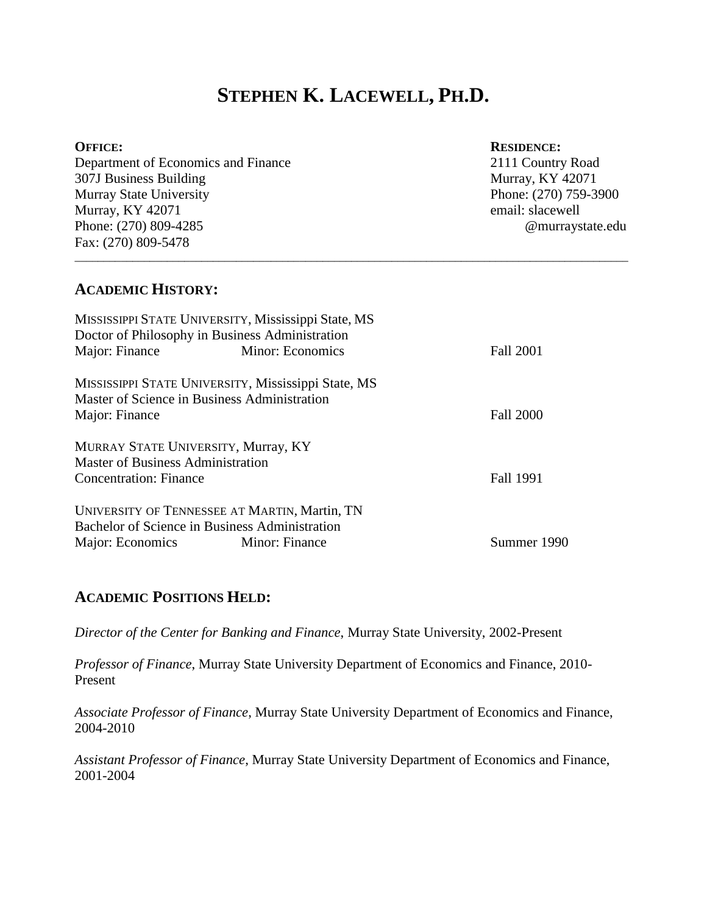# **STEPHEN K. LACEWELL, PH.D.**

\_\_\_\_\_\_\_\_\_\_\_\_\_\_\_\_\_\_\_\_\_\_\_\_\_\_\_\_\_\_\_\_\_\_\_\_\_\_\_\_\_\_\_\_\_\_\_\_\_\_\_\_\_\_\_\_\_\_\_\_\_\_\_\_\_\_\_\_\_\_\_\_\_\_\_\_\_\_\_\_\_\_\_\_\_\_\_\_\_\_\_\_\_\_\_\_

#### **OFFICE: RESIDENCE:**

Department of Economics and Finance 2111 Country Road 307J Business Building Murray, KY 42071 Murray State University **Phone: (270) 759-3900** Murray, KY 42071 email: slacewell Phone: (270) 809-4285 @murraystate.edu Fax: (270) 809-5478

# **ACADEMIC HISTORY:**

|                                   | MISSISSIPPI STATE UNIVERSITY, Mississippi State, MS |                  |
|-----------------------------------|-----------------------------------------------------|------------------|
|                                   | Doctor of Philosophy in Business Administration     |                  |
| Major: Finance                    | Minor: Economics                                    | <b>Fall 2001</b> |
|                                   | MISSISSIPPI STATE UNIVERSITY, Mississippi State, MS |                  |
|                                   | Master of Science in Business Administration        |                  |
| Major: Finance                    |                                                     | <b>Fall 2000</b> |
|                                   | MURRAY STATE UNIVERSITY, Murray, KY                 |                  |
| Master of Business Administration |                                                     |                  |
| <b>Concentration: Finance</b>     |                                                     | Fall 1991        |
|                                   | UNIVERSITY OF TENNESSEE AT MARTIN, Martin, TN       |                  |
|                                   | Bachelor of Science in Business Administration      |                  |
| Major: Economics                  | Minor: Finance                                      | Summer 1990      |

### **ACADEMIC POSITIONS HELD:**

*Director of the Center for Banking and Finance*, Murray State University, 2002-Present

*Professor of Finance*, Murray State University Department of Economics and Finance, 2010- Present

*Associate Professor of Finance*, Murray State University Department of Economics and Finance, 2004-2010

*Assistant Professor of Finance*, Murray State University Department of Economics and Finance, 2001-2004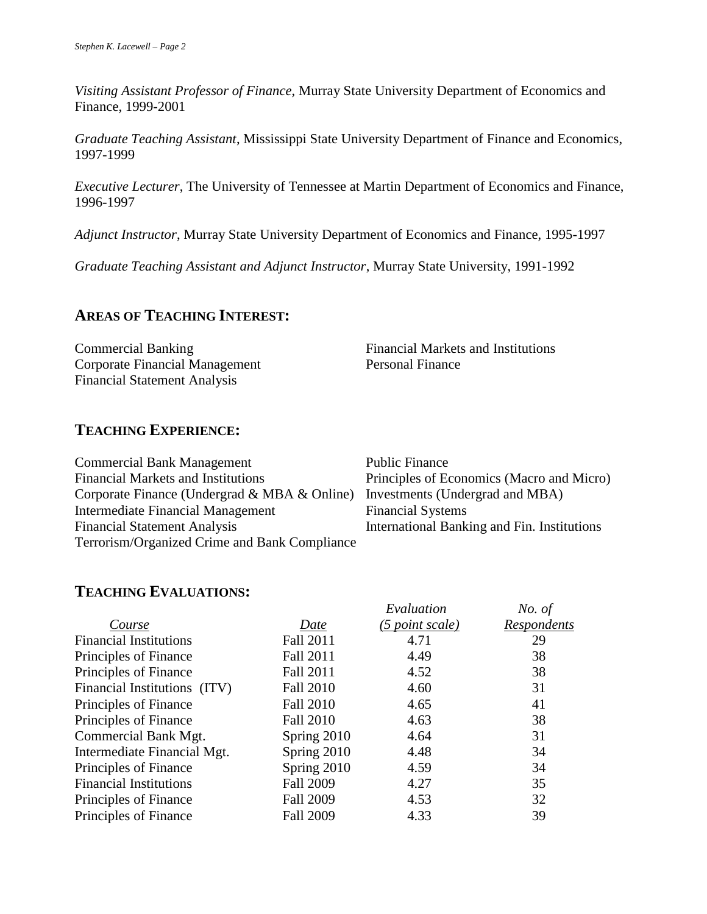*Visiting Assistant Professor of Finance*, Murray State University Department of Economics and Finance, 1999-2001

*Graduate Teaching Assistant*, Mississippi State University Department of Finance and Economics, 1997-1999

*Executive Lecturer*, The University of Tennessee at Martin Department of Economics and Finance, 1996-1997

*Adjunct Instructor*, Murray State University Department of Economics and Finance, 1995-1997

*Graduate Teaching Assistant and Adjunct Instructor*, Murray State University, 1991-1992

# **AREAS OF TEACHING INTEREST:**

Commercial Banking Financial Markets and Institutions Corporate Financial Management Personal Finance Financial Statement Analysis

# **TEACHING EXPERIENCE:**

| <b>Commercial Bank Management</b>             | <b>Public Finance</b>                       |
|-----------------------------------------------|---------------------------------------------|
| <b>Financial Markets and Institutions</b>     | Principles of Economics (Macro and Micro)   |
| Corporate Finance (Undergrad & MBA & Online)  | Investments (Undergrad and MBA)             |
| Intermediate Financial Management             | <b>Financial Systems</b>                    |
| <b>Financial Statement Analysis</b>           | International Banking and Fin. Institutions |
| Terrorism/Organized Crime and Bank Compliance |                                             |

# **TEACHING EVALUATIONS:**

|                               |                  | Evaluation      | No. of      |
|-------------------------------|------------------|-----------------|-------------|
| Course                        | Date             | (5 point scale) | Respondents |
| <b>Financial Institutions</b> | Fall 2011        | 4.71            | 29          |
| Principles of Finance         | Fall 2011        | 4.49            | 38          |
| Principles of Finance         | Fall 2011        | 4.52            | 38          |
| Financial Institutions (ITV)  | <b>Fall 2010</b> | 4.60            | 31          |
| Principles of Finance         | <b>Fall 2010</b> | 4.65            | 41          |
| Principles of Finance         | <b>Fall 2010</b> | 4.63            | 38          |
| Commercial Bank Mgt.          | Spring 2010      | 4.64            | 31          |
| Intermediate Financial Mgt.   | Spring 2010      | 4.48            | 34          |
| Principles of Finance         | Spring 2010      | 4.59            | 34          |
| <b>Financial Institutions</b> | <b>Fall 2009</b> | 4.27            | 35          |
| Principles of Finance         | <b>Fall 2009</b> | 4.53            | 32          |
| Principles of Finance         | <b>Fall 2009</b> | 4.33            | 39          |
|                               |                  |                 |             |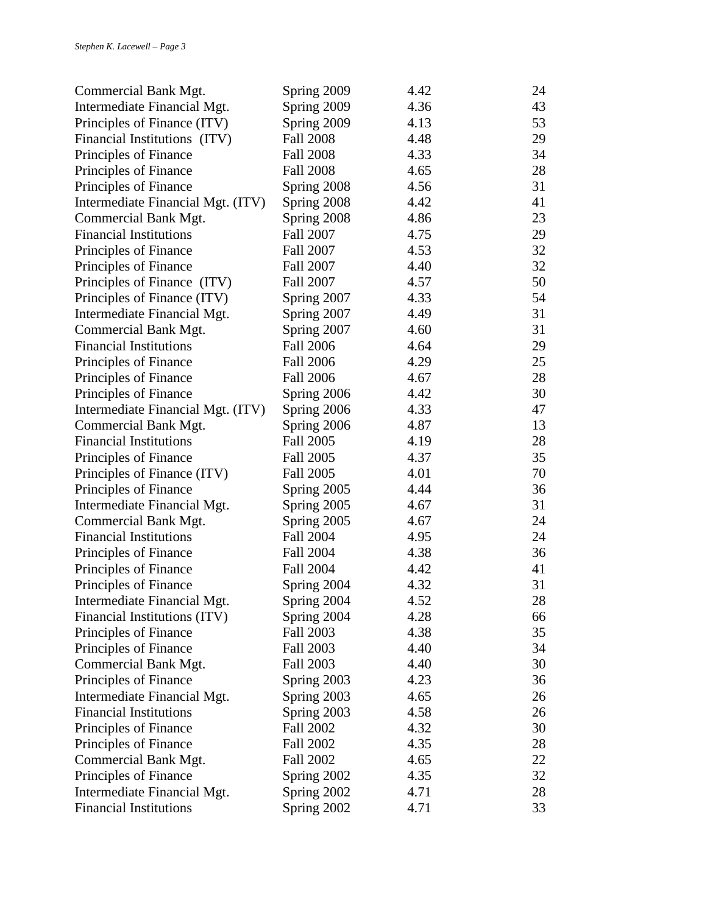| Commercial Bank Mgt.              | Spring 2009      | 4.42 | 24 |
|-----------------------------------|------------------|------|----|
| Intermediate Financial Mgt.       | Spring 2009      | 4.36 | 43 |
| Principles of Finance (ITV)       | Spring 2009      | 4.13 | 53 |
| Financial Institutions (ITV)      | <b>Fall 2008</b> | 4.48 | 29 |
| Principles of Finance             | <b>Fall 2008</b> | 4.33 | 34 |
| Principles of Finance             | <b>Fall 2008</b> | 4.65 | 28 |
| Principles of Finance             | Spring 2008      | 4.56 | 31 |
| Intermediate Financial Mgt. (ITV) | Spring 2008      | 4.42 | 41 |
| Commercial Bank Mgt.              | Spring 2008      | 4.86 | 23 |
| <b>Financial Institutions</b>     | <b>Fall 2007</b> | 4.75 | 29 |
| Principles of Finance             | <b>Fall 2007</b> | 4.53 | 32 |
| Principles of Finance             | Fall 2007        | 4.40 | 32 |
| Principles of Finance (ITV)       | Fall 2007        | 4.57 | 50 |
| Principles of Finance (ITV)       | Spring 2007      | 4.33 | 54 |
| Intermediate Financial Mgt.       | Spring 2007      | 4.49 | 31 |
| Commercial Bank Mgt.              | Spring 2007      | 4.60 | 31 |
| <b>Financial Institutions</b>     | <b>Fall 2006</b> | 4.64 | 29 |
| Principles of Finance             | <b>Fall 2006</b> | 4.29 | 25 |
| Principles of Finance             | <b>Fall 2006</b> | 4.67 | 28 |
| Principles of Finance             | Spring 2006      | 4.42 | 30 |
| Intermediate Financial Mgt. (ITV) | Spring 2006      | 4.33 | 47 |
| Commercial Bank Mgt.              | Spring 2006      | 4.87 | 13 |
| <b>Financial Institutions</b>     | Fall 2005        | 4.19 | 28 |
| Principles of Finance             | <b>Fall 2005</b> | 4.37 | 35 |
| Principles of Finance (ITV)       | Fall 2005        | 4.01 | 70 |
| Principles of Finance             | Spring 2005      | 4.44 | 36 |
| Intermediate Financial Mgt.       | Spring 2005      | 4.67 | 31 |
| Commercial Bank Mgt.              | Spring 2005      | 4.67 | 24 |
| <b>Financial Institutions</b>     | <b>Fall 2004</b> | 4.95 | 24 |
| Principles of Finance             | Fall 2004        | 4.38 | 36 |
| Principles of Finance             | <b>Fall 2004</b> | 4.42 | 41 |
| Principles of Finance             | Spring 2004      | 4.32 | 31 |
| Intermediate Financial Mgt.       | Spring 2004      | 4.52 | 28 |
| Financial Institutions (ITV)      | Spring 2004      | 4.28 | 66 |
| Principles of Finance             | Fall 2003        | 4.38 | 35 |
| Principles of Finance             | Fall 2003        | 4.40 | 34 |
| Commercial Bank Mgt.              | <b>Fall 2003</b> | 4.40 | 30 |
| Principles of Finance             | Spring 2003      | 4.23 | 36 |
| Intermediate Financial Mgt.       | Spring 2003      | 4.65 | 26 |
| <b>Financial Institutions</b>     | Spring 2003      | 4.58 | 26 |
| Principles of Finance             | Fall 2002        | 4.32 | 30 |
| Principles of Finance             | Fall 2002        | 4.35 | 28 |
| Commercial Bank Mgt.              | Fall 2002        | 4.65 | 22 |
| Principles of Finance             | Spring 2002      | 4.35 | 32 |
| Intermediate Financial Mgt.       | Spring 2002      | 4.71 | 28 |
| <b>Financial Institutions</b>     | Spring 2002      | 4.71 | 33 |
|                                   |                  |      |    |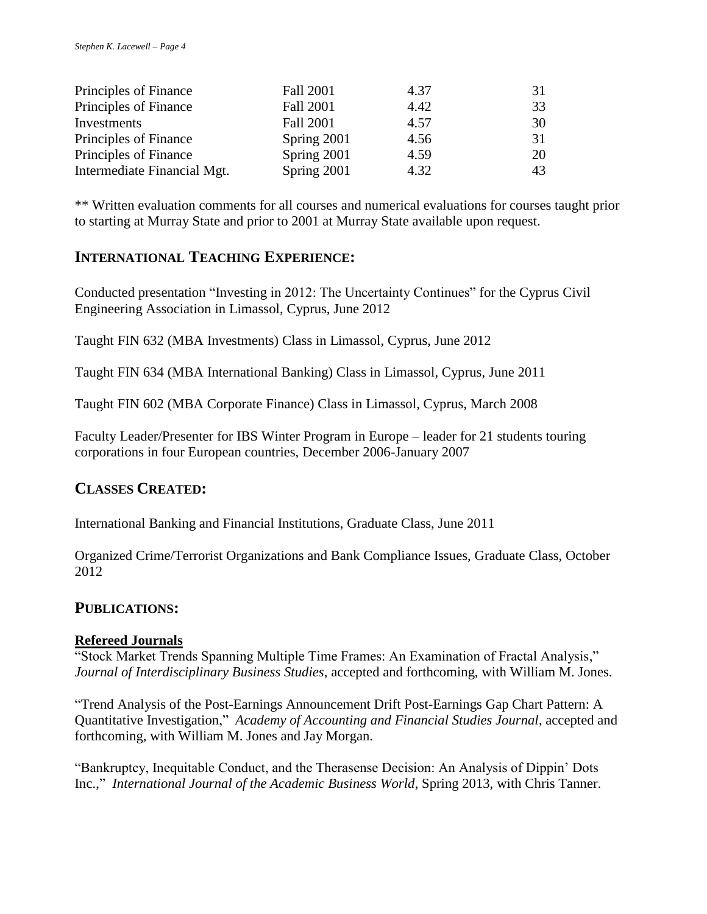| Principles of Finance       | Fall 2001        | 4.37 | 31 |
|-----------------------------|------------------|------|----|
| Principles of Finance       | <b>Fall 2001</b> | 4.42 | 33 |
| Investments                 | <b>Fall 2001</b> | 4.57 | 30 |
| Principles of Finance       | Spring 2001      | 4.56 | 31 |
| Principles of Finance       | Spring 2001      | 4.59 | 20 |
| Intermediate Financial Mgt. | Spring 2001      | 4.32 | 43 |

\*\* Written evaluation comments for all courses and numerical evaluations for courses taught prior to starting at Murray State and prior to 2001 at Murray State available upon request.

# **INTERNATIONAL TEACHING EXPERIENCE:**

Conducted presentation "Investing in 2012: The Uncertainty Continues" for the Cyprus Civil Engineering Association in Limassol, Cyprus, June 2012

Taught FIN 632 (MBA Investments) Class in Limassol, Cyprus, June 2012

Taught FIN 634 (MBA International Banking) Class in Limassol, Cyprus, June 2011

Taught FIN 602 (MBA Corporate Finance) Class in Limassol, Cyprus, March 2008

Faculty Leader/Presenter for IBS Winter Program in Europe – leader for 21 students touring corporations in four European countries, December 2006-January 2007

# **CLASSES CREATED:**

International Banking and Financial Institutions, Graduate Class, June 2011

Organized Crime/Terrorist Organizations and Bank Compliance Issues, Graduate Class, October 2012

### **PUBLICATIONS:**

### **Refereed Journals**

"Stock Market Trends Spanning Multiple Time Frames: An Examination of Fractal Analysis," *Journal of Interdisciplinary Business Studies*, accepted and forthcoming, with William M. Jones.

"Trend Analysis of the Post-Earnings Announcement Drift Post-Earnings Gap Chart Pattern: A Quantitative Investigation," *Academy of Accounting and Financial Studies Journal*, accepted and forthcoming, with William M. Jones and Jay Morgan.

"Bankruptcy, Inequitable Conduct, and the Therasense Decision: An Analysis of Dippin' Dots Inc.," *International Journal of the Academic Business World*, Spring 2013, with Chris Tanner.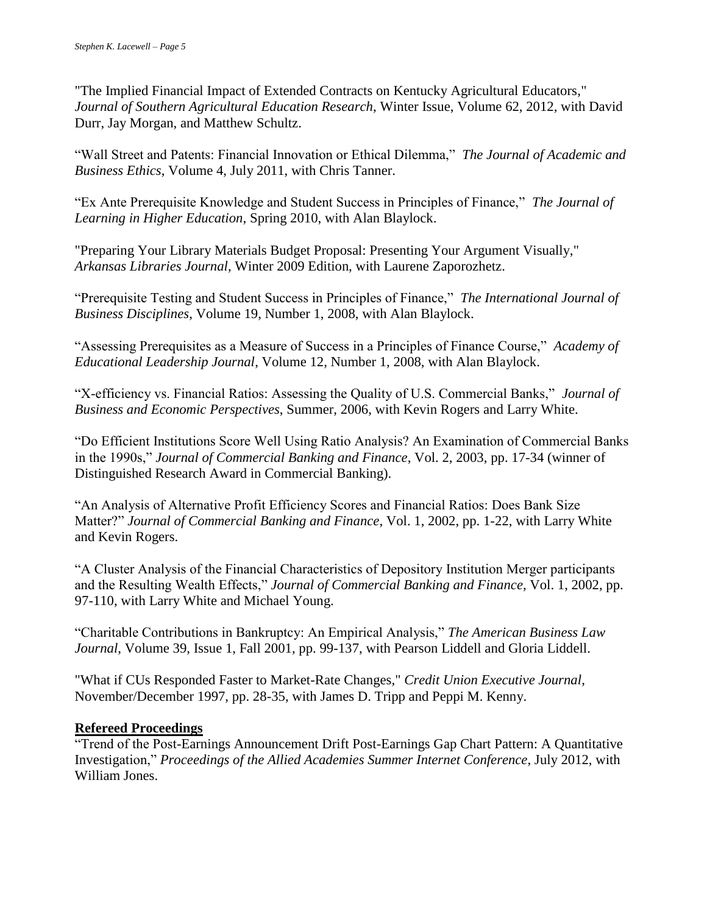"The Implied Financial Impact of Extended Contracts on Kentucky Agricultural Educators," *Journal of Southern Agricultural Education Research*, Winter Issue, Volume 62, 2012, with David Durr, Jay Morgan, and Matthew Schultz.

"Wall Street and Patents: Financial Innovation or Ethical Dilemma," *The Journal of Academic and Business Ethics*, Volume 4, July 2011, with Chris Tanner.

"Ex Ante Prerequisite Knowledge and Student Success in Principles of Finance," *The Journal of Learning in Higher Education*, Spring 2010, with Alan Blaylock.

"Preparing Your Library Materials Budget Proposal: Presenting Your Argument Visually," *Arkansas Libraries Journal*, Winter 2009 Edition, with Laurene Zaporozhetz.

"Prerequisite Testing and Student Success in Principles of Finance," *The International Journal of Business Disciplines*, Volume 19, Number 1, 2008, with Alan Blaylock.

"Assessing Prerequisites as a Measure of Success in a Principles of Finance Course," *Academy of Educational Leadership Journal*, Volume 12, Number 1, 2008, with Alan Blaylock.

"X-efficiency vs. Financial Ratios: Assessing the Quality of U.S. Commercial Banks," *Journal of Business and Economic Perspectives*, Summer, 2006, with Kevin Rogers and Larry White.

"Do Efficient Institutions Score Well Using Ratio Analysis? An Examination of Commercial Banks in the 1990s," *Journal of Commercial Banking and Finance*, Vol. 2, 2003, pp. 17-34 (winner of Distinguished Research Award in Commercial Banking).

"An Analysis of Alternative Profit Efficiency Scores and Financial Ratios: Does Bank Size Matter?" *Journal of Commercial Banking and Finance*, Vol. 1, 2002, pp. 1-22, with Larry White and Kevin Rogers.

"A Cluster Analysis of the Financial Characteristics of Depository Institution Merger participants and the Resulting Wealth Effects," *Journal of Commercial Banking and Finance*, Vol. 1, 2002, pp. 97-110, with Larry White and Michael Young.

"Charitable Contributions in Bankruptcy: An Empirical Analysis," *The American Business Law Journal*, Volume 39, Issue 1, Fall 2001, pp. 99-137, with Pearson Liddell and Gloria Liddell.

"What if CUs Responded Faster to Market-Rate Changes," *Credit Union Executive Journal*, November/December 1997, pp. 28-35, with James D. Tripp and Peppi M. Kenny.

### **Refereed Proceedings**

"Trend of the Post-Earnings Announcement Drift Post-Earnings Gap Chart Pattern: A Quantitative Investigation," *Proceedings of the Allied Academies Summer Internet Conference*, July 2012, with William Jones.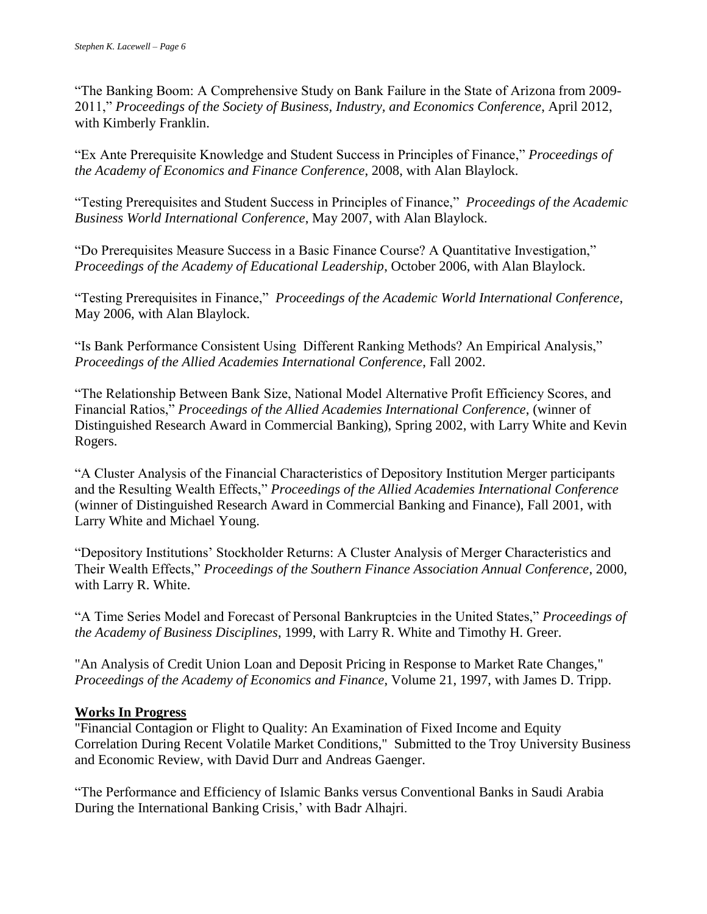"The Banking Boom: A Comprehensive Study on Bank Failure in the State of Arizona from 2009- 2011," *Proceedings of the Society of Business, Industry, and Economics Conference*, April 2012, with Kimberly Franklin.

"Ex Ante Prerequisite Knowledge and Student Success in Principles of Finance," *Proceedings of the Academy of Economics and Finance Conference*, 2008, with Alan Blaylock.

"Testing Prerequisites and Student Success in Principles of Finance," *Proceedings of the Academic Business World International Conference*, May 2007, with Alan Blaylock.

"Do Prerequisites Measure Success in a Basic Finance Course? A Quantitative Investigation," *Proceedings of the Academy of Educational Leadership*, October 2006, with Alan Blaylock.

"Testing Prerequisites in Finance," *Proceedings of the Academic World International Conference*, May 2006, with Alan Blaylock.

"Is Bank Performance Consistent Using Different Ranking Methods? An Empirical Analysis," *Proceedings of the Allied Academies International Conference*, Fall 2002.

"The Relationship Between Bank Size, National Model Alternative Profit Efficiency Scores, and Financial Ratios," *Proceedings of the Allied Academies International Conference*, (winner of Distinguished Research Award in Commercial Banking), Spring 2002, with Larry White and Kevin Rogers.

"A Cluster Analysis of the Financial Characteristics of Depository Institution Merger participants and the Resulting Wealth Effects," *Proceedings of the Allied Academies International Conference*  (winner of Distinguished Research Award in Commercial Banking and Finance), Fall 2001, with Larry White and Michael Young.

"Depository Institutions' Stockholder Returns: A Cluster Analysis of Merger Characteristics and Their Wealth Effects," *Proceedings of the Southern Finance Association Annual Conference*, 2000, with Larry R. White.

"A Time Series Model and Forecast of Personal Bankruptcies in the United States," *Proceedings of the Academy of Business Disciplines*, 1999, with Larry R. White and Timothy H. Greer.

"An Analysis of Credit Union Loan and Deposit Pricing in Response to Market Rate Changes," *Proceedings of the Academy of Economics and Finance*, Volume 21, 1997, with James D. Tripp.

### **Works In Progress**

"Financial Contagion or Flight to Quality: An Examination of Fixed Income and Equity Correlation During Recent Volatile Market Conditions," Submitted to the Troy University Business and Economic Review, with David Durr and Andreas Gaenger.

"The Performance and Efficiency of Islamic Banks versus Conventional Banks in Saudi Arabia During the International Banking Crisis,' with Badr Alhajri.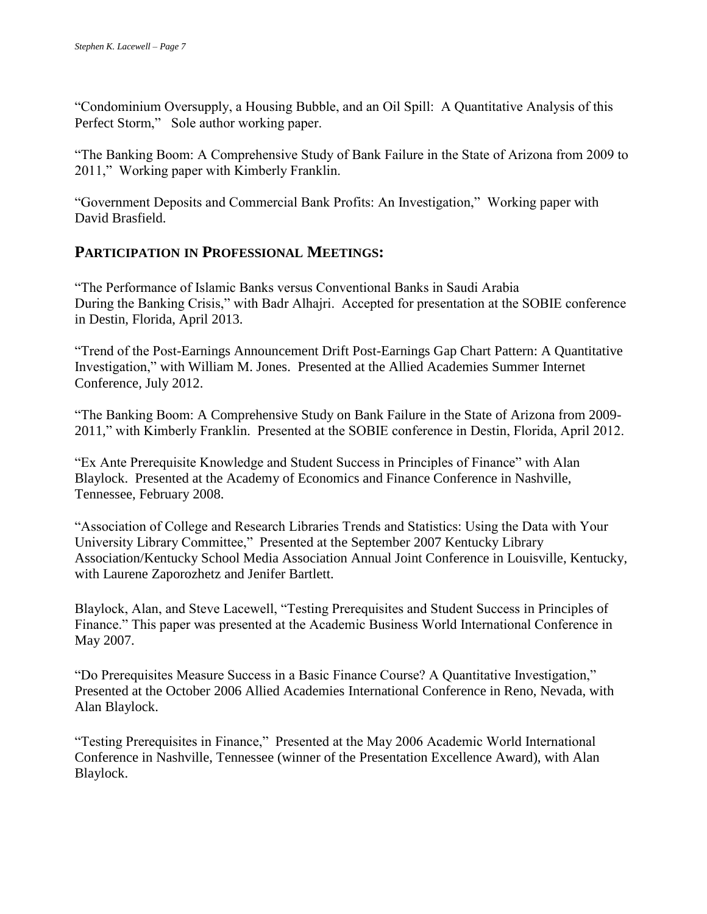"Condominium Oversupply, a Housing Bubble, and an Oil Spill: A Quantitative Analysis of this Perfect Storm," Sole author working paper.

"The Banking Boom: A Comprehensive Study of Bank Failure in the State of Arizona from 2009 to 2011," Working paper with Kimberly Franklin.

"Government Deposits and Commercial Bank Profits: An Investigation," Working paper with David Brasfield.

# **PARTICIPATION IN PROFESSIONAL MEETINGS:**

"The Performance of Islamic Banks versus Conventional Banks in Saudi Arabia During the Banking Crisis," with Badr Alhajri. Accepted for presentation at the SOBIE conference in Destin, Florida, April 2013.

"Trend of the Post-Earnings Announcement Drift Post-Earnings Gap Chart Pattern: A Quantitative Investigation," with William M. Jones. Presented at the Allied Academies Summer Internet Conference, July 2012.

"The Banking Boom: A Comprehensive Study on Bank Failure in the State of Arizona from 2009- 2011," with Kimberly Franklin. Presented at the SOBIE conference in Destin, Florida, April 2012.

"Ex Ante Prerequisite Knowledge and Student Success in Principles of Finance" with Alan Blaylock. Presented at the Academy of Economics and Finance Conference in Nashville, Tennessee, February 2008.

"Association of College and Research Libraries Trends and Statistics: Using the Data with Your University Library Committee," Presented at the September 2007 Kentucky Library Association/Kentucky School Media Association Annual Joint Conference in Louisville, Kentucky, with Laurene Zaporozhetz and Jenifer Bartlett.

Blaylock, Alan, and Steve Lacewell, "Testing Prerequisites and Student Success in Principles of Finance." This paper was presented at the Academic Business World International Conference in May 2007.

"Do Prerequisites Measure Success in a Basic Finance Course? A Quantitative Investigation," Presented at the October 2006 Allied Academies International Conference in Reno, Nevada, with Alan Blaylock.

"Testing Prerequisites in Finance," Presented at the May 2006 Academic World International Conference in Nashville, Tennessee (winner of the Presentation Excellence Award), with Alan Blaylock.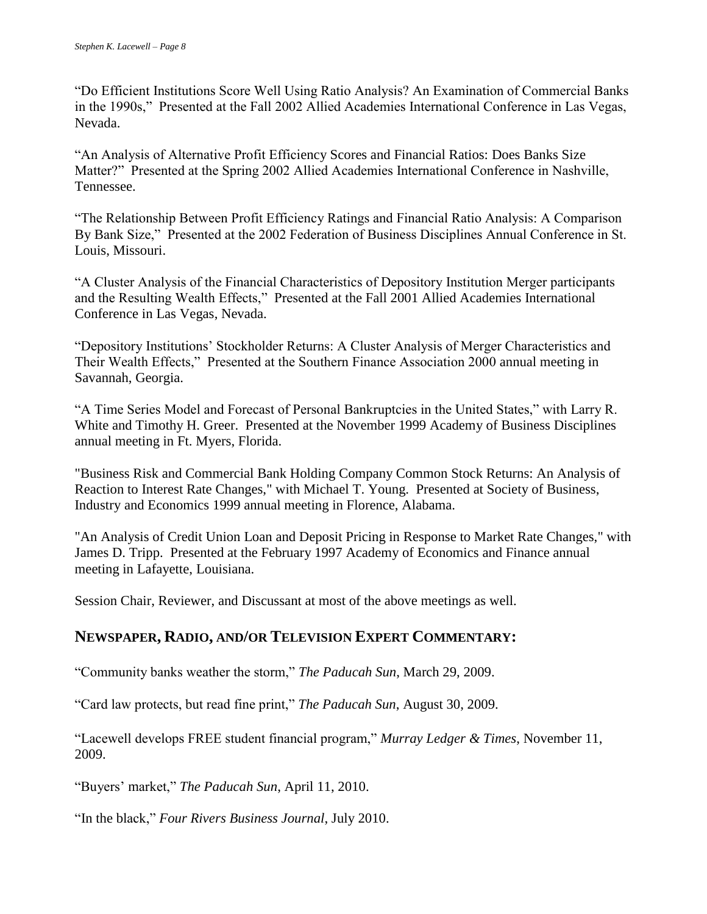"Do Efficient Institutions Score Well Using Ratio Analysis? An Examination of Commercial Banks in the 1990s," Presented at the Fall 2002 Allied Academies International Conference in Las Vegas, Nevada.

"An Analysis of Alternative Profit Efficiency Scores and Financial Ratios: Does Banks Size Matter?" Presented at the Spring 2002 Allied Academies International Conference in Nashville, Tennessee.

"The Relationship Between Profit Efficiency Ratings and Financial Ratio Analysis: A Comparison By Bank Size," Presented at the 2002 Federation of Business Disciplines Annual Conference in St. Louis, Missouri.

"A Cluster Analysis of the Financial Characteristics of Depository Institution Merger participants and the Resulting Wealth Effects," Presented at the Fall 2001 Allied Academies International Conference in Las Vegas, Nevada.

"Depository Institutions' Stockholder Returns: A Cluster Analysis of Merger Characteristics and Their Wealth Effects," Presented at the Southern Finance Association 2000 annual meeting in Savannah, Georgia.

"A Time Series Model and Forecast of Personal Bankruptcies in the United States," with Larry R. White and Timothy H. Greer. Presented at the November 1999 Academy of Business Disciplines annual meeting in Ft. Myers, Florida.

"Business Risk and Commercial Bank Holding Company Common Stock Returns: An Analysis of Reaction to Interest Rate Changes," with Michael T. Young. Presented at Society of Business, Industry and Economics 1999 annual meeting in Florence, Alabama.

"An Analysis of Credit Union Loan and Deposit Pricing in Response to Market Rate Changes," with James D. Tripp. Presented at the February 1997 Academy of Economics and Finance annual meeting in Lafayette, Louisiana.

Session Chair, Reviewer, and Discussant at most of the above meetings as well.

# **NEWSPAPER, RADIO, AND/OR TELEVISION EXPERT COMMENTARY:**

"Community banks weather the storm," *The Paducah Sun*, March 29, 2009.

"Card law protects, but read fine print," *The Paducah Sun*, August 30, 2009.

"Lacewell develops FREE student financial program," *Murray Ledger & Times*, November 11, 2009.

"Buyers' market," *The Paducah Sun*, April 11, 2010.

"In the black," *Four Rivers Business Journal*, July 2010.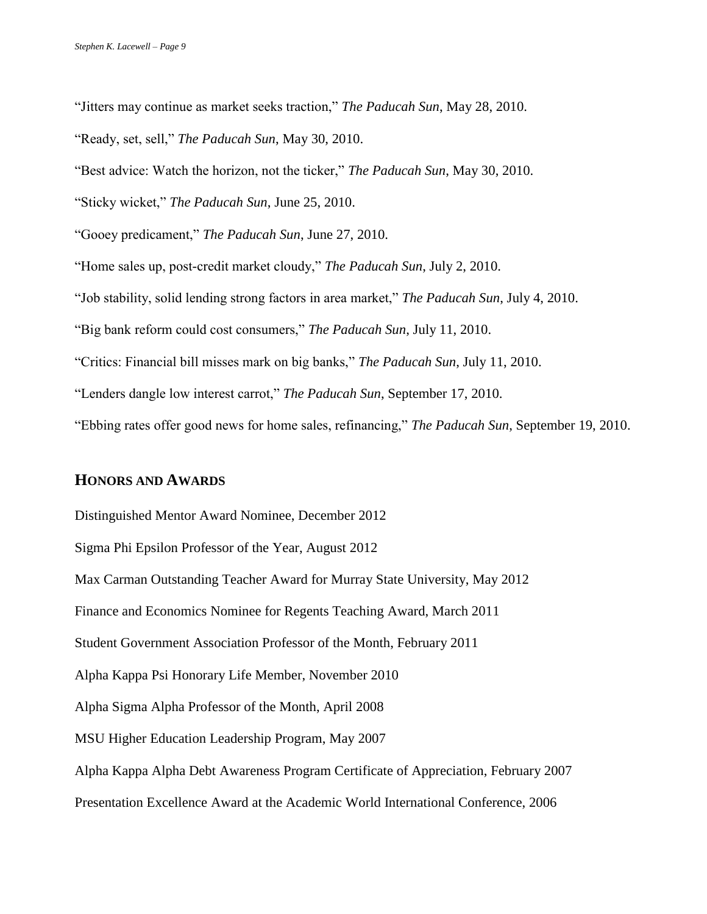"Jitters may continue as market seeks traction," *The Paducah Sun*, May 28, 2010.

"Ready, set, sell," *The Paducah Sun*, May 30, 2010.

"Best advice: Watch the horizon, not the ticker," *The Paducah Sun*, May 30, 2010.

"Sticky wicket," *The Paducah Sun*, June 25, 2010.

"Gooey predicament," *The Paducah Sun*, June 27, 2010.

"Home sales up, post-credit market cloudy," *The Paducah Sun*, July 2, 2010.

"Job stability, solid lending strong factors in area market," *The Paducah Sun*, July 4, 2010.

"Big bank reform could cost consumers," *The Paducah Sun*, July 11, 2010.

"Critics: Financial bill misses mark on big banks," *The Paducah Sun*, July 11, 2010.

"Lenders dangle low interest carrot," *The Paducah Sun*, September 17, 2010.

"Ebbing rates offer good news for home sales, refinancing," *The Paducah Sun*, September 19, 2010.

#### **HONORS AND AWARDS**

Distinguished Mentor Award Nominee, December 2012

Sigma Phi Epsilon Professor of the Year, August 2012

Max Carman Outstanding Teacher Award for Murray State University, May 2012

Finance and Economics Nominee for Regents Teaching Award, March 2011

Student Government Association Professor of the Month, February 2011

Alpha Kappa Psi Honorary Life Member, November 2010

Alpha Sigma Alpha Professor of the Month, April 2008

MSU Higher Education Leadership Program, May 2007

Alpha Kappa Alpha Debt Awareness Program Certificate of Appreciation, February 2007

Presentation Excellence Award at the Academic World International Conference, 2006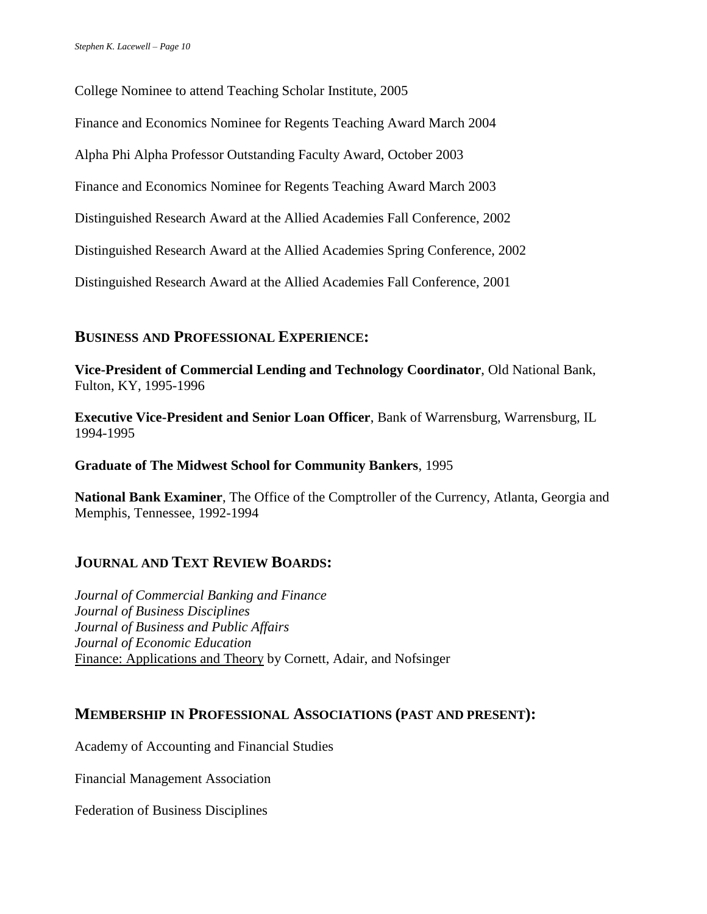College Nominee to attend Teaching Scholar Institute, 2005

Finance and Economics Nominee for Regents Teaching Award March 2004

Alpha Phi Alpha Professor Outstanding Faculty Award, October 2003

Finance and Economics Nominee for Regents Teaching Award March 2003

Distinguished Research Award at the Allied Academies Fall Conference, 2002

Distinguished Research Award at the Allied Academies Spring Conference, 2002

Distinguished Research Award at the Allied Academies Fall Conference, 2001

## **BUSINESS AND PROFESSIONAL EXPERIENCE:**

**Vice-President of Commercial Lending and Technology Coordinator**, Old National Bank, Fulton, KY, 1995-1996

**Executive Vice-President and Senior Loan Officer**, Bank of Warrensburg, Warrensburg, IL 1994-1995

#### **Graduate of The Midwest School for Community Bankers**, 1995

**National Bank Examiner**, The Office of the Comptroller of the Currency, Atlanta, Georgia and Memphis, Tennessee, 1992-1994

# **JOURNAL AND TEXT REVIEW BOARDS:**

*Journal of Commercial Banking and Finance Journal of Business Disciplines Journal of Business and Public Affairs Journal of Economic Education* Finance: Applications and Theory by Cornett, Adair, and Nofsinger

### **MEMBERSHIP IN PROFESSIONAL ASSOCIATIONS (PAST AND PRESENT):**

Academy of Accounting and Financial Studies

Financial Management Association

Federation of Business Disciplines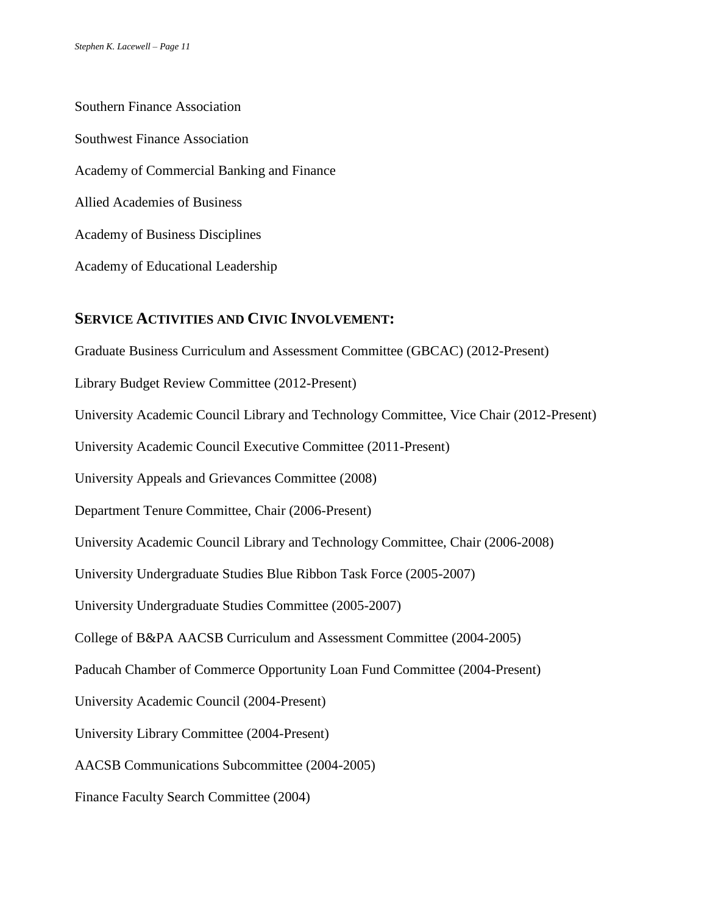Southern Finance Association Southwest Finance Association Academy of Commercial Banking and Finance Allied Academies of Business Academy of Business Disciplines Academy of Educational Leadership

### **SERVICE ACTIVITIES AND CIVIC INVOLVEMENT:**

Graduate Business Curriculum and Assessment Committee (GBCAC) (2012-Present) Library Budget Review Committee (2012-Present) University Academic Council Library and Technology Committee, Vice Chair (2012-Present) University Academic Council Executive Committee (2011-Present) University Appeals and Grievances Committee (2008) Department Tenure Committee, Chair (2006-Present) University Academic Council Library and Technology Committee, Chair (2006-2008) University Undergraduate Studies Blue Ribbon Task Force (2005-2007) University Undergraduate Studies Committee (2005-2007) College of B&PA AACSB Curriculum and Assessment Committee (2004-2005) Paducah Chamber of Commerce Opportunity Loan Fund Committee (2004-Present) University Academic Council (2004-Present) University Library Committee (2004-Present) AACSB Communications Subcommittee (2004-2005) Finance Faculty Search Committee (2004)